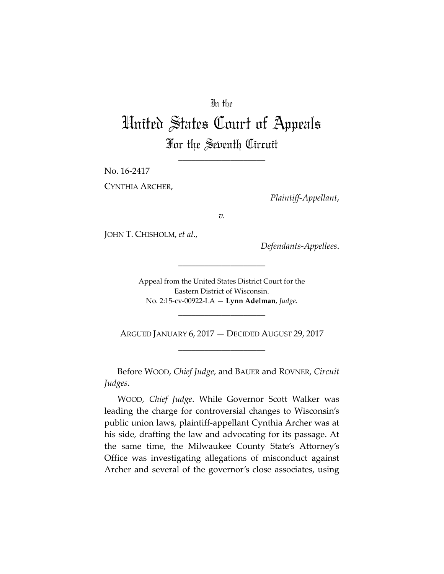## In the

# United States Court of Appeals For the Seventh Circuit

\_\_\_\_\_\_\_\_\_\_\_\_\_\_\_\_\_\_\_\_

No. 16‐2417

CYNTHIA ARCHER,

*Plaintiff‐Appellant*,

*v.*

JOHN T. CHISHOLM, *et al*.,

*Defendants‐Appellees*.

Appeal from the United States District Court for the Eastern District of Wisconsin. No. 2:15‐cv‐00922‐LA — **Lynn Adelman**, *Judge*.

\_\_\_\_\_\_\_\_\_\_\_\_\_\_\_\_\_\_\_\_

ARGUED JANUARY 6, 2017 — DECIDED AUGUST 29, 2017 \_\_\_\_\_\_\_\_\_\_\_\_\_\_\_\_\_\_\_\_

\_\_\_\_\_\_\_\_\_\_\_\_\_\_\_\_\_\_\_\_

Before WOOD, *Chief Judge*, and BAUER and ROVNER, *Circuit Judges*.

WOOD, *Chief Judge*. While Governor Scott Walker was leading the charge for controversial changes to Wisconsin's public union laws, plaintiff‐appellant Cynthia Archer was at his side, drafting the law and advocating for its passage. At the same time, the Milwaukee County State's Attorney's Office was investigating allegations of misconduct against Archer and several of the governor's close associates, using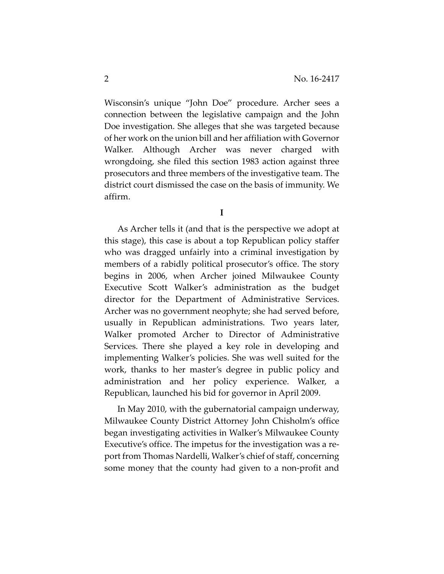Wisconsin's unique "John Doe" procedure. Archer sees a connection between the legislative campaign and the John Doe investigation. She alleges that she was targeted because of her work on the union bill and her affiliation with Governor Walker. Although Archer was never charged with wrongdoing, she filed this section 1983 action against three prosecutors and three members of the investigative team. The district court dismissed the case on the basis of immunity. We affirm.

**I**

As Archer tells it (and that is the perspective we adopt at this stage), this case is about a top Republican policy staffer who was dragged unfairly into a criminal investigation by members of a rabidly political prosecutor's office. The story begins in 2006, when Archer joined Milwaukee County Executive Scott Walker's administration as the budget director for the Department of Administrative Services. Archer was no government neophyte; she had served before, usually in Republican administrations. Two years later, Walker promoted Archer to Director of Administrative Services. There she played a key role in developing and implementing Walker's policies. She was well suited for the work, thanks to her master's degree in public policy and administration and her policy experience. Walker, a Republican, launched his bid for governor in April 2009.

In May 2010, with the gubernatorial campaign underway, Milwaukee County District Attorney John Chisholm's office began investigating activities in Walker's Milwaukee County Executive's office. The impetus for the investigation was a re‐ port from Thomas Nardelli, Walker's chief of staff, concerning some money that the county had given to a non‐profit and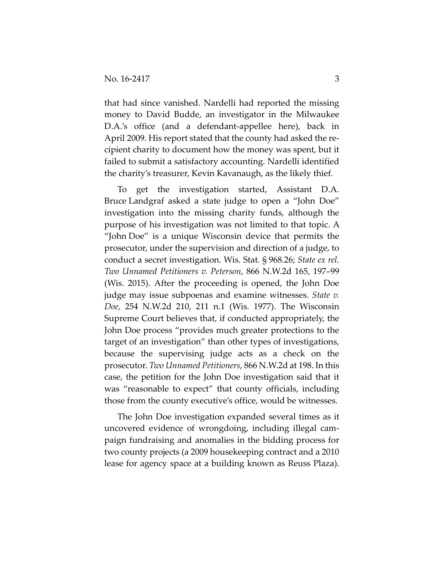that had since vanished. Nardelli had reported the missing money to David Budde, an investigator in the Milwaukee D.A.'s office (and a defendant‐appellee here), back in April 2009. His report stated that the county had asked the re‐ cipient charity to document how the money was spent, but it failed to submit a satisfactory accounting. Nardelli identified the charity's treasurer, Kevin Kavanaugh, as the likely thief.

To get the investigation started, Assistant D.A. Bruce Landgraf asked a state judge to open a "John Doe" investigation into the missing charity funds, although the purpose of his investigation was not limited to that topic. A "John Doe" is a unique Wisconsin device that permits the prosecutor, under the supervision and direction of a judge, to conduct a secret investigation. Wis. Stat. § 968.26; *State ex rel. Two Unnamed Petitioners v. Peterson*, 866 N.W.2d 165, 197–99 (Wis. 2015). After the proceeding is opened, the John Doe judge may issue subpoenas and examine witnesses. *State v. Doe*, 254 N.W.2d 210, 211 n.1 (Wis. 1977). The Wisconsin Supreme Court believes that, if conducted appropriately, the John Doe process "provides much greater protections to the target of an investigation" than other types of investigations, because the supervising judge acts as a check on the prosecutor. *Two Unnamed Petitioners*, 866 N.W.2d at 198. In this case, the petition for the John Doe investigation said that it was "reasonable to expect" that county officials, including those from the county executive's office, would be witnesses.

The John Doe investigation expanded several times as it uncovered evidence of wrongdoing, including illegal cam‐ paign fundraising and anomalies in the bidding process for two county projects (a 2009 housekeeping contract and a 2010 lease for agency space at a building known as Reuss Plaza).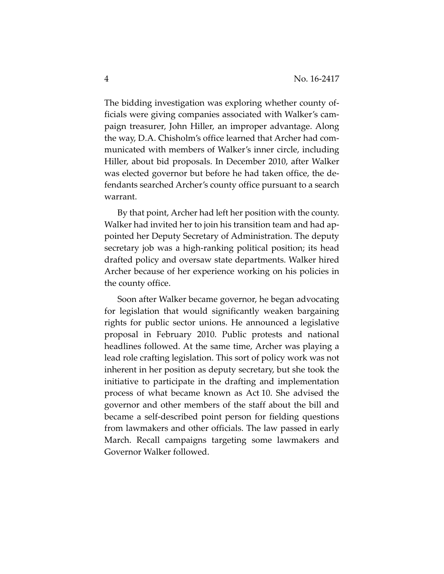The bidding investigation was exploring whether county of‐ ficials were giving companies associated with Walker's cam‐ paign treasurer, John Hiller, an improper advantage. Along the way, D.A. Chisholm's office learned that Archer had com‐ municated with members of Walker's inner circle, including Hiller, about bid proposals. In December 2010, after Walker was elected governor but before he had taken office, the de‐ fendants searched Archer's county office pursuant to a search warrant.

By that point, Archer had left her position with the county. Walker had invited her to join his transition team and had appointed her Deputy Secretary of Administration. The deputy secretary job was a high‐ranking political position; its head drafted policy and oversaw state departments. Walker hired Archer because of her experience working on his policies in the county office.

Soon after Walker became governor, he began advocating for legislation that would significantly weaken bargaining rights for public sector unions. He announced a legislative proposal in February 2010. Public protests and national headlines followed. At the same time, Archer was playing a lead role crafting legislation. This sort of policy work was not inherent in her position as deputy secretary, but she took the initiative to participate in the drafting and implementation process of what became known as Act 10. She advised the governor and other members of the staff about the bill and became a self‐described point person for fielding questions from lawmakers and other officials. The law passed in early March. Recall campaigns targeting some lawmakers and Governor Walker followed.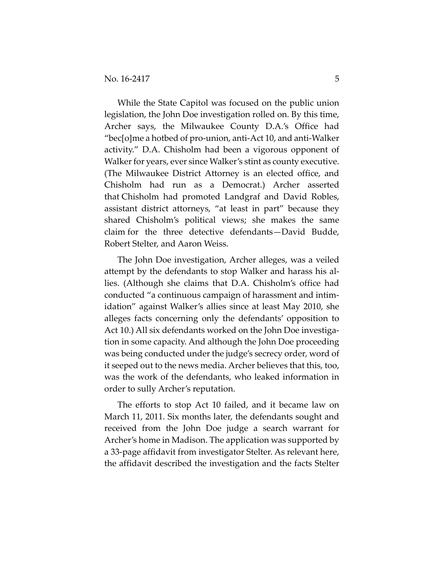While the State Capitol was focused on the public union legislation, the John Doe investigation rolled on. By this time, Archer says, the Milwaukee County D.A.'s Office had "bec[o]me a hotbed of pro‐union, anti‐Act 10, and anti‐Walker activity." D.A. Chisholm had been a vigorous opponent of Walker for years, ever since Walker's stint as county executive. (The Milwaukee District Attorney is an elected office, and Chisholm had run as a Democrat.) Archer asserted that Chisholm had promoted Landgraf and David Robles, assistant district attorneys, "at least in part" because they shared Chisholm's political views; she makes the same claim for the three detective defendants—David Budde, Robert Stelter, and Aaron Weiss.

The John Doe investigation, Archer alleges, was a veiled attempt by the defendants to stop Walker and harass his al‐ lies. (Although she claims that D.A. Chisholm's office had conducted "a continuous campaign of harassment and intim‐ idation" against Walker's allies since at least May 2010, she alleges facts concerning only the defendants' opposition to Act 10.) All six defendants worked on the John Doe investigation in some capacity. And although the John Doe proceeding was being conducted under the judge's secrecy order, word of it seeped out to the news media. Archer believes that this, too, was the work of the defendants, who leaked information in order to sully Archer's reputation.

The efforts to stop Act 10 failed, and it became law on March 11, 2011. Six months later, the defendants sought and received from the John Doe judge a search warrant for Archer's home in Madison. The application was supported by a 33‐page affidavit from investigator Stelter. As relevant here, the affidavit described the investigation and the facts Stelter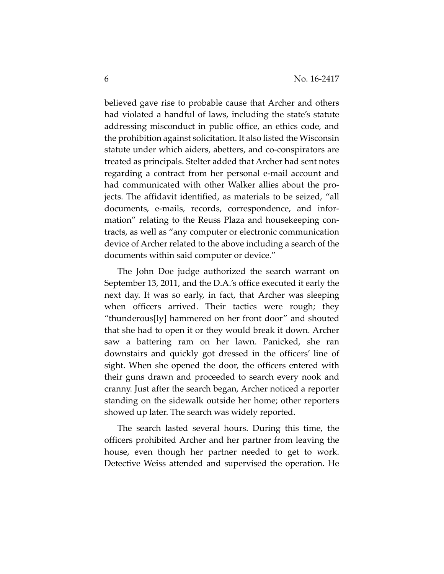believed gave rise to probable cause that Archer and others had violated a handful of laws, including the state's statute addressing misconduct in public office, an ethics code, and the prohibition against solicitation. It also listed the Wisconsin statute under which aiders, abetters, and co‐conspirators are treated as principals. Stelter added that Archer had sent notes regarding a contract from her personal e‐mail account and had communicated with other Walker allies about the pro‐ jects. The affidavit identified, as materials to be seized, "all documents, e‐mails, records, correspondence, and infor‐ mation" relating to the Reuss Plaza and housekeeping con‐ tracts, as well as "any computer or electronic communication device of Archer related to the above including a search of the documents within said computer or device."

The John Doe judge authorized the search warrant on September 13, 2011, and the D.A.'s office executed it early the next day. It was so early, in fact, that Archer was sleeping when officers arrived. Their tactics were rough; they "thunderous[ly] hammered on her front door" and shouted that she had to open it or they would break it down. Archer saw a battering ram on her lawn. Panicked, she ran downstairs and quickly got dressed in the officers' line of sight. When she opened the door, the officers entered with their guns drawn and proceeded to search every nook and cranny. Just after the search began, Archer noticed a reporter standing on the sidewalk outside her home; other reporters showed up later. The search was widely reported.

The search lasted several hours. During this time, the officers prohibited Archer and her partner from leaving the house, even though her partner needed to get to work. Detective Weiss attended and supervised the operation. He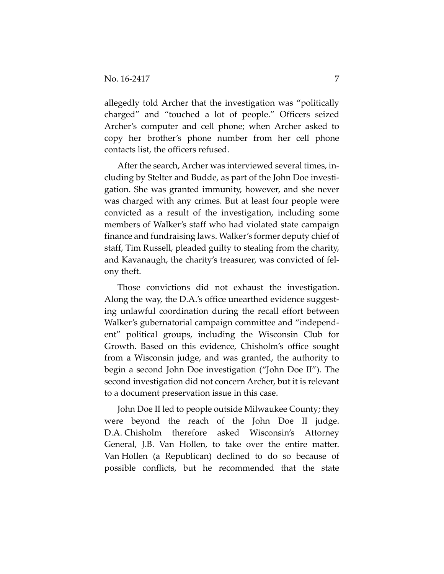allegedly told Archer that the investigation was "politically charged" and "touched a lot of people." Officers seized Archer's computer and cell phone; when Archer asked to copy her brother's phone number from her cell phone contacts list, the officers refused.

After the search, Archer was interviewed several times, in‐ cluding by Stelter and Budde, as part of the John Doe investi‐ gation. She was granted immunity, however, and she never was charged with any crimes. But at least four people were convicted as a result of the investigation, including some members of Walker's staff who had violated state campaign finance and fundraising laws. Walker's former deputy chief of staff, Tim Russell, pleaded guilty to stealing from the charity, and Kavanaugh, the charity's treasurer, was convicted of fel‐ ony theft.

Those convictions did not exhaust the investigation. Along the way, the D.A.'s office unearthed evidence suggesting unlawful coordination during the recall effort between Walker's gubernatorial campaign committee and "independ‐ ent" political groups, including the Wisconsin Club for Growth. Based on this evidence, Chisholm's office sought from a Wisconsin judge, and was granted, the authority to begin a second John Doe investigation ("John Doe II"). The second investigation did not concern Archer, but it is relevant to a document preservation issue in this case.

John Doe II led to people outside Milwaukee County; they were beyond the reach of the John Doe II judge. D.A. Chisholm therefore asked Wisconsin's Attorney General, J.B. Van Hollen, to take over the entire matter. Van Hollen (a Republican) declined to do so because of possible conflicts, but he recommended that the state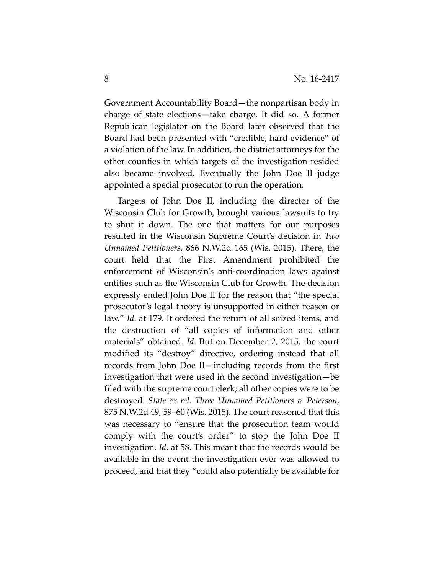Government Accountability Board—the nonpartisan body in charge of state elections—take charge. It did so. A former Republican legislator on the Board later observed that the Board had been presented with "credible, hard evidence" of a violation of the law. In addition, the district attorneys for the other counties in which targets of the investigation resided also became involved. Eventually the John Doe II judge appointed a special prosecutor to run the operation.

Targets of John Doe II, including the director of the Wisconsin Club for Growth, brought various lawsuits to try to shut it down. The one that matters for our purposes resulted in the Wisconsin Supreme Court's decision in *Two Unnamed Petitioners*, 866 N.W.2d 165 (Wis. 2015). There, the court held that the First Amendment prohibited the enforcement of Wisconsin's anti‐coordination laws against entities such as the Wisconsin Club for Growth. The decision expressly ended John Doe II for the reason that "the special prosecutor's legal theory is unsupported in either reason or law." *Id*. at 179. It ordered the return of all seized items, and the destruction of "all copies of information and other materials" obtained. *Id*. But on December 2, 2015, the court modified its "destroy" directive, ordering instead that all records from John Doe II—including records from the first investigation that were used in the second investigation—be filed with the supreme court clerk; all other copies were to be destroyed. *State ex rel. Three Unnamed Petitioners v. Peterson*, 875 N.W.2d 49, 59–60 (Wis. 2015). The court reasoned that this was necessary to "ensure that the prosecution team would comply with the court's order" to stop the John Doe II investigation. *Id*. at 58. This meant that the records would be available in the event the investigation ever was allowed to proceed, and that they "could also potentially be available for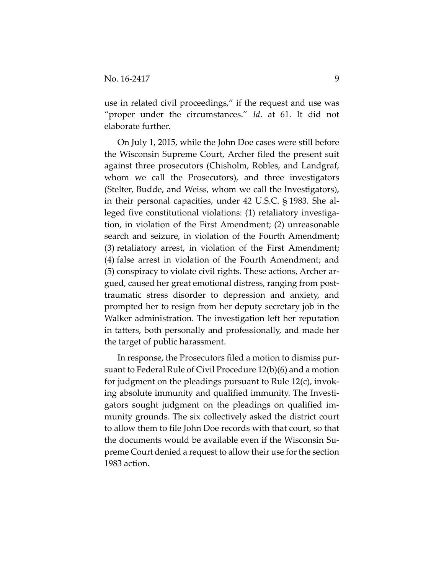use in related civil proceedings," if the request and use was "proper under the circumstances." *Id*. at 61. It did not elaborate further.

On July 1, 2015, while the John Doe cases were still before the Wisconsin Supreme Court, Archer filed the present suit against three prosecutors (Chisholm, Robles, and Landgraf, whom we call the Prosecutors), and three investigators (Stelter, Budde, and Weiss, whom we call the Investigators), in their personal capacities, under 42 U.S.C. § 1983. She al‐ leged five constitutional violations: (1) retaliatory investiga‐ tion, in violation of the First Amendment; (2) unreasonable search and seizure, in violation of the Fourth Amendment; (3) retaliatory arrest, in violation of the First Amendment; (4) false arrest in violation of the Fourth Amendment; and (5) conspiracy to violate civil rights. These actions, Archer ar‐ gued, caused her great emotional distress, ranging from post‐ traumatic stress disorder to depression and anxiety, and prompted her to resign from her deputy secretary job in the Walker administration. The investigation left her reputation in tatters, both personally and professionally, and made her the target of public harassment.

In response, the Prosecutors filed a motion to dismiss pur‐ suant to Federal Rule of Civil Procedure 12(b)(6) and a motion for judgment on the pleadings pursuant to Rule 12(c), invok‐ ing absolute immunity and qualified immunity. The Investi‐ gators sought judgment on the pleadings on qualified im‐ munity grounds. The six collectively asked the district court to allow them to file John Doe records with that court, so that the documents would be available even if the Wisconsin Supreme Court denied a request to allow their use for the section 1983 action.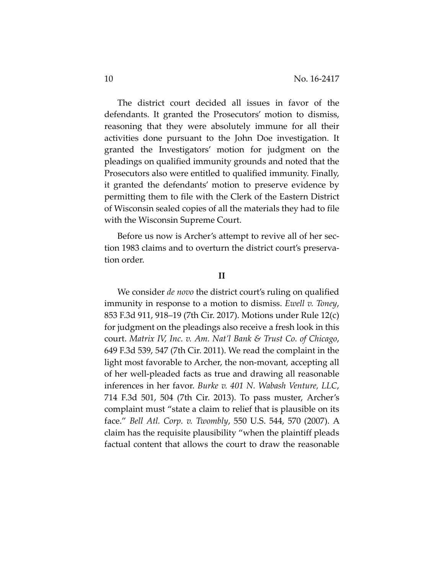The district court decided all issues in favor of the defendants. It granted the Prosecutors' motion to dismiss, reasoning that they were absolutely immune for all their activities done pursuant to the John Doe investigation. It granted the Investigators' motion for judgment on the pleadings on qualified immunity grounds and noted that the Prosecutors also were entitled to qualified immunity. Finally, it granted the defendants' motion to preserve evidence by permitting them to file with the Clerk of the Eastern District of Wisconsin sealed copies of all the materials they had to file with the Wisconsin Supreme Court.

Before us now is Archer's attempt to revive all of her section 1983 claims and to overturn the district court's preserva‐ tion order.

#### **II**

We consider *de novo* the district court's ruling on qualified immunity in response to a motion to dismiss. *Ewell v. Toney*, 853 F.3d 911, 918–19 (7th Cir. 2017). Motions under Rule 12(c) for judgment on the pleadings also receive a fresh look in this court. *Matrix IV, Inc. v. Am. Nat'l Bank & Trust Co. of Chicago*, 649 F.3d 539, 547 (7th Cir. 2011). We read the complaint in the light most favorable to Archer, the non-movant, accepting all of her well‐pleaded facts as true and drawing all reasonable inferences in her favor. *Burke v. 401 N. Wabash Venture, LLC*, 714 F.3d 501, 504 (7th Cir. 2013). To pass muster, Archer's complaint must "state a claim to relief that is plausible on its face." *Bell Atl. Corp. v. Twombly*, 550 U.S. 544, 570 (2007). A claim has the requisite plausibility "when the plaintiff pleads factual content that allows the court to draw the reasonable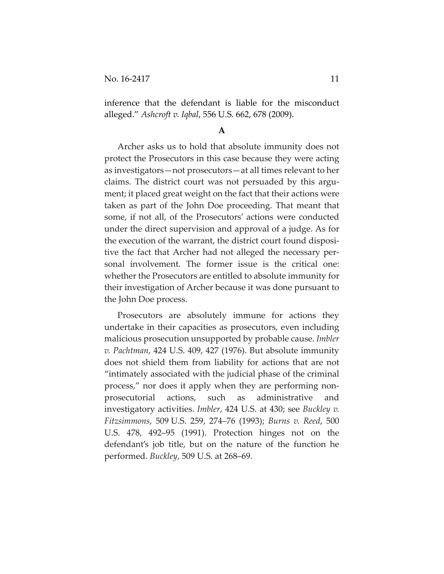inference that the defendant is liable for the misconduct alleged." *Ashcroft v. Iqbal*, 556 U.S. 662, 678 (2009).

#### **A**

Archer asks us to hold that absolute immunity does not protect the Prosecutors in this case because they were acting as investigators—not prosecutors—at all times relevant to her claims. The district court was not persuaded by this argu‐ ment; it placed great weight on the fact that their actions were taken as part of the John Doe proceeding. That meant that some, if not all, of the Prosecutors' actions were conducted under the direct supervision and approval of a judge. As for the execution of the warrant, the district court found disposi‐ tive the fact that Archer had not alleged the necessary per‐ sonal involvement. The former issue is the critical one: whether the Prosecutors are entitled to absolute immunity for their investigation of Archer because it was done pursuant to the John Doe process.

Prosecutors are absolutely immune for actions they undertake in their capacities as prosecutors, even including malicious prosecution unsupported by probable cause. *Imbler v. Pachtman*, 424 U.S. 409, 427 (1976). But absolute immunity does not shield them from liability for actions that are not "intimately associated with the judicial phase of the criminal process," nor does it apply when they are performing non‐ prosecutorial actions, such as administrative and investigatory activities. *Imbler*, 424 U.S. at 430; see *Buckley v. Fitzsimmons*, 509 U.S. 259, 274–76 (1993); *Burns v. Reed*, 500 U.S. 478, 492–95 (1991). Protection hinges not on the defendant's job title, but on the nature of the function he performed. *Buckley*, 509 U.S. at 268–69.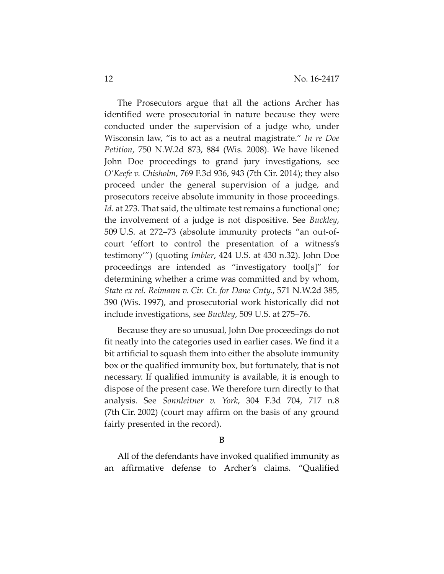The Prosecutors argue that all the actions Archer has identified were prosecutorial in nature because they were conducted under the supervision of a judge who, under Wisconsin law, "is to act as a neutral magistrate." *In re Doe Petition*, 750 N.W.2d 873, 884 (Wis. 2008). We have likened John Doe proceedings to grand jury investigations, see *O'Keefe v. Chisholm*, 769 F.3d 936, 943 (7th Cir. 2014); they also proceed under the general supervision of a judge, and prosecutors receive absolute immunity in those proceedings. *Id.* at 273. That said, the ultimate test remains a functional one; the involvement of a judge is not dispositive. See *Buckley*, 509 U.S. at 272–73 (absolute immunity protects "an out‐of‐ court 'effort to control the presentation of a witness's testimony'") (quoting *Imbler*, 424 U.S. at 430 n.32). John Doe proceedings are intended as "investigatory tool[s]" for determining whether a crime was committed and by whom, *State ex rel. Reimann v. Cir. Ct. for Dane Cnty.*, 571 N.W.2d 385, 390 (Wis. 1997), and prosecutorial work historically did not include investigations, see *Buckley*, 509 U.S. at 275–76.

Because they are so unusual, John Doe proceedings do not fit neatly into the categories used in earlier cases. We find it a bit artificial to squash them into either the absolute immunity box or the qualified immunity box, but fortunately, that is not necessary. If qualified immunity is available, it is enough to dispose of the present case. We therefore turn directly to that analysis. See *Sonnleitner v. York*, 304 F.3d 704, 717 n.8 (7th Cir. 2002) (court may affirm on the basis of any ground fairly presented in the record).

#### **B**

All of the defendants have invoked qualified immunity as an affirmative defense to Archer's claims. "Qualified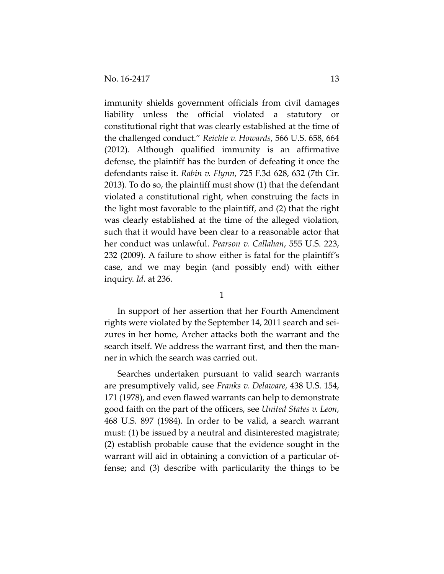immunity shields government officials from civil damages liability unless the official violated a statutory or constitutional right that was clearly established at the time of the challenged conduct." *Reichle v. Howards*, 566 U.S. 658, 664 (2012). Although qualified immunity is an affirmative defense, the plaintiff has the burden of defeating it once the defendants raise it. *Rabin v. Flynn*, 725 F.3d 628, 632 (7th Cir. 2013). To do so, the plaintiff must show (1) that the defendant violated a constitutional right, when construing the facts in the light most favorable to the plaintiff, and (2) that the right was clearly established at the time of the alleged violation, such that it would have been clear to a reasonable actor that her conduct was unlawful. *Pearson v. Callahan*, 555 U.S. 223, 232 (2009). A failure to show either is fatal for the plaintiff's case, and we may begin (and possibly end) with either inquiry. *Id*. at 236.

1

In support of her assertion that her Fourth Amendment rights were violated by the September 14, 2011 search and sei‐ zures in her home, Archer attacks both the warrant and the search itself. We address the warrant first, and then the manner in which the search was carried out.

Searches undertaken pursuant to valid search warrants are presumptively valid, see *Franks v. Delaware*, 438 U.S. 154, 171 (1978), and even flawed warrants can help to demonstrate good faith on the part of the officers, see *United States v. Leon*, 468 U.S. 897 (1984). In order to be valid, a search warrant must: (1) be issued by a neutral and disinterested magistrate; (2) establish probable cause that the evidence sought in the warrant will aid in obtaining a conviction of a particular offense; and (3) describe with particularity the things to be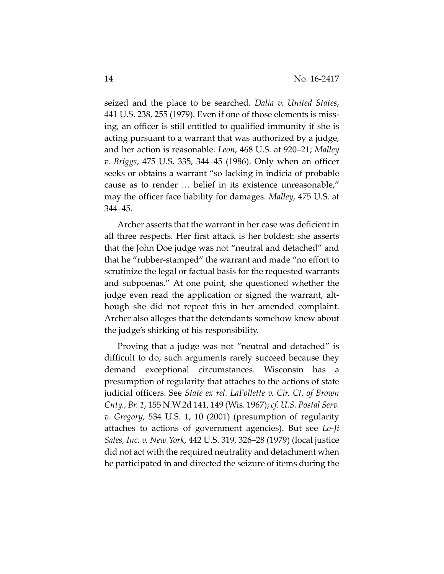seized and the place to be searched. *Dalia v. United States*, 441 U.S. 238, 255 (1979). Even if one of those elements is miss‐ ing, an officer is still entitled to qualified immunity if she is acting pursuant to a warrant that was authorized by a judge, and her action is reasonable. *Leon*, 468 U.S. at 920–21; *Malley v. Briggs*, 475 U.S. 335, 344–45 (1986). Only when an officer seeks or obtains a warrant "so lacking in indicia of probable cause as to render … belief in its existence unreasonable," may the officer face liability for damages. *Malley*, 475 U.S. at 344–45.

Archer asserts that the warrant in her case was deficient in all three respects. Her first attack is her boldest: she asserts that the John Doe judge was not "neutral and detached" and that he "rubber‐stamped" the warrant and made "no effort to scrutinize the legal or factual basis for the requested warrants and subpoenas." At one point, she questioned whether the judge even read the application or signed the warrant, alt‐ hough she did not repeat this in her amended complaint. Archer also alleges that the defendants somehow knew about the judge's shirking of his responsibility.

Proving that a judge was not "neutral and detached" is difficult to do; such arguments rarely succeed because they demand exceptional circumstances. Wisconsin has a presumption of regularity that attaches to the actions of state judicial officers. See *State ex rel. LaFollette v. Cir. Ct. of Brown Cnty., Br. 1*, 155 N.W.2d 141, 149 (Wis. 1967); *cf. U.S. Postal Serv. v. Gregory*, 534 U.S. 1, 10 (2001) (presumption of regularity attaches to actions of government agencies). But see *Lo‐Ji Sales, Inc. v. New York*, 442 U.S. 319, 326–28 (1979) (local justice did not act with the required neutrality and detachment when he participated in and directed the seizure of items during the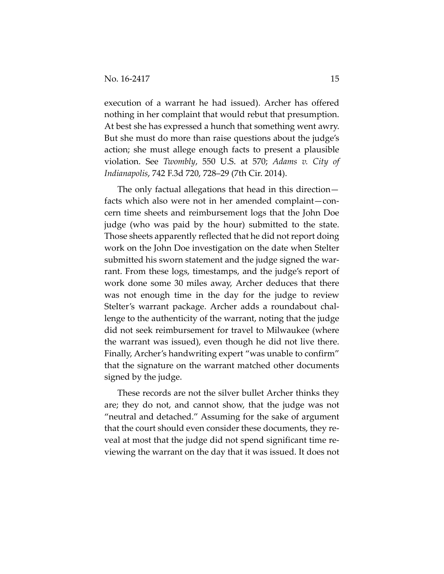execution of a warrant he had issued). Archer has offered nothing in her complaint that would rebut that presumption. At best she has expressed a hunch that something went awry. But she must do more than raise questions about the judge's action; she must allege enough facts to present a plausible violation. See *Twombly*, 550 U.S. at 570; *Adams v. City of Indianapolis*, 742 F.3d 720, 728–29 (7th Cir. 2014).

The only factual allegations that head in this direction facts which also were not in her amended complaint—con‐ cern time sheets and reimbursement logs that the John Doe judge (who was paid by the hour) submitted to the state. Those sheets apparently reflected that he did not report doing work on the John Doe investigation on the date when Stelter submitted his sworn statement and the judge signed the warrant. From these logs, timestamps, and the judge's report of work done some 30 miles away, Archer deduces that there was not enough time in the day for the judge to review Stelter's warrant package. Archer adds a roundabout chal‐ lenge to the authenticity of the warrant, noting that the judge did not seek reimbursement for travel to Milwaukee (where the warrant was issued), even though he did not live there. Finally, Archer's handwriting expert "was unable to confirm" that the signature on the warrant matched other documents signed by the judge.

These records are not the silver bullet Archer thinks they are; they do not, and cannot show, that the judge was not "neutral and detached." Assuming for the sake of argument that the court should even consider these documents, they re‐ veal at most that the judge did not spend significant time re‐ viewing the warrant on the day that it was issued. It does not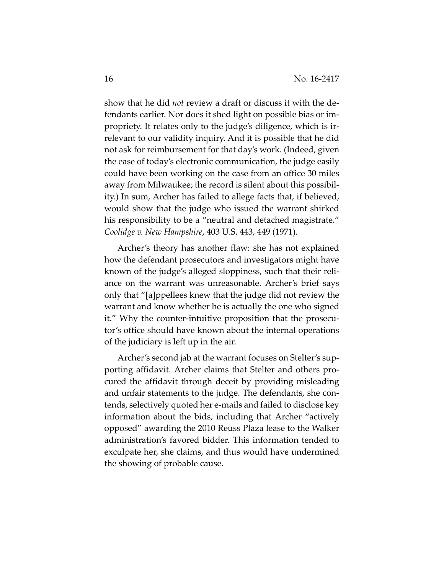show that he did *not* review a draft or discuss it with the de‐ fendants earlier. Nor does it shed light on possible bias or im‐ propriety. It relates only to the judge's diligence, which is ir‐ relevant to our validity inquiry. And it is possible that he did not ask for reimbursement for that day's work. (Indeed, given the ease of today's electronic communication, the judge easily could have been working on the case from an office 30 miles away from Milwaukee; the record is silent about this possibil‐ ity.) In sum, Archer has failed to allege facts that, if believed, would show that the judge who issued the warrant shirked his responsibility to be a "neutral and detached magistrate." *Coolidge v. New Hampshire*, 403 U.S. 443, 449 (1971).

Archer's theory has another flaw: she has not explained how the defendant prosecutors and investigators might have known of the judge's alleged sloppiness, such that their reli‐ ance on the warrant was unreasonable. Archer's brief says only that "[a]ppellees knew that the judge did not review the warrant and know whether he is actually the one who signed it." Why the counter‐intuitive proposition that the prosecu‐ tor's office should have known about the internal operations of the judiciary is left up in the air.

Archer's second jab at the warrant focuses on Stelter's sup‐ porting affidavit. Archer claims that Stelter and others pro‐ cured the affidavit through deceit by providing misleading and unfair statements to the judge. The defendants, she con‐ tends, selectively quoted her e‐mails and failed to disclose key information about the bids, including that Archer "actively opposed" awarding the 2010 Reuss Plaza lease to the Walker administration's favored bidder. This information tended to exculpate her, she claims, and thus would have undermined the showing of probable cause.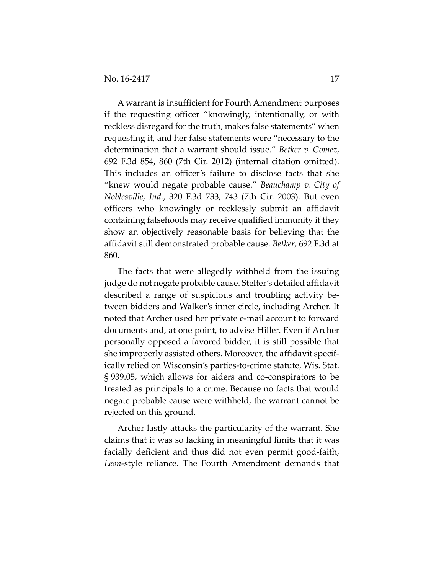A warrant is insufficient for Fourth Amendment purposes if the requesting officer "knowingly, intentionally, or with reckless disregard for the truth, makes false statements" when requesting it, and her false statements were "necessary to the determination that a warrant should issue." *Betker v. Gomez*, 692 F.3d 854, 860 (7th Cir. 2012) (internal citation omitted). This includes an officer's failure to disclose facts that she "knew would negate probable cause." *Beauchamp v. City of Noblesville, Ind.*, 320 F.3d 733, 743 (7th Cir. 2003). But even officers who knowingly or recklessly submit an affidavit containing falsehoods may receive qualified immunity if they show an objectively reasonable basis for believing that the affidavit still demonstrated probable cause. *Betker*, 692 F.3d at 860.

The facts that were allegedly withheld from the issuing judge do not negate probable cause. Stelter's detailed affidavit described a range of suspicious and troubling activity be‐ tween bidders and Walker's inner circle, including Archer. It noted that Archer used her private e‐mail account to forward documents and, at one point, to advise Hiller. Even if Archer personally opposed a favored bidder, it is still possible that she improperly assisted others. Moreover, the affidavit specif‐ ically relied on Wisconsin's parties‐to‐crime statute, Wis. Stat. § 939.05, which allows for aiders and co‐conspirators to be treated as principals to a crime. Because no facts that would negate probable cause were withheld, the warrant cannot be rejected on this ground.

Archer lastly attacks the particularity of the warrant. She claims that it was so lacking in meaningful limits that it was facially deficient and thus did not even permit good-faith, *Leon*‐style reliance. The Fourth Amendment demands that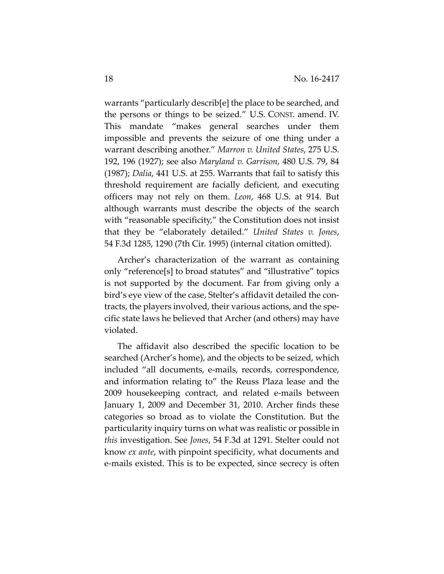warrants "particularly describ[e] the place to be searched, and the persons or things to be seized." U.S. CONST. amend. IV. This mandate "makes general searches under them impossible and prevents the seizure of one thing under a warrant describing another." *Marron v. United States*, 275 U.S. 192, 196 (1927); see also *Maryland v. Garrison*, 480 U.S. 79, 84 (1987); *Dalia*, 441 U.S. at 255. Warrants that fail to satisfy this threshold requirement are facially deficient, and executing officers may not rely on them. *Leon*, 468 U.S. at 914. But although warrants must describe the objects of the search with "reasonable specificity," the Constitution does not insist that they be "elaborately detailed." *United States v. Jones*, 54 F.3d 1285, 1290 (7th Cir. 1995) (internal citation omitted).

Archer's characterization of the warrant as containing only "reference[s] to broad statutes" and "illustrative" topics is not supported by the document. Far from giving only a bird's eye view of the case, Stelter's affidavit detailed the con‐ tracts, the players involved, their various actions, and the spe‐ cific state laws he believed that Archer (and others) may have violated.

The affidavit also described the specific location to be searched (Archer's home), and the objects to be seized, which included "all documents, e‐mails, records, correspondence, and information relating to" the Reuss Plaza lease and the 2009 housekeeping contract, and related e‐mails between January 1, 2009 and December 31, 2010. Archer finds these categories so broad as to violate the Constitution. But the particularity inquiry turns on what was realistic or possible in *this* investigation. See *Jones*, 54 F.3d at 1291. Stelter could not know *ex ante*, with pinpoint specificity, what documents and e‐mails existed. This is to be expected, since secrecy is often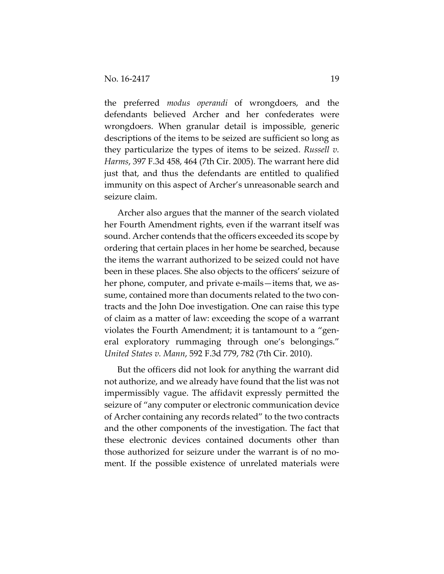the preferred *modus operandi* of wrongdoers, and the defendants believed Archer and her confederates were wrongdoers. When granular detail is impossible, generic descriptions of the items to be seized are sufficient so long as they particularize the types of items to be seized. *Russell v. Harms*, 397 F.3d 458, 464 (7th Cir. 2005). The warrant here did just that, and thus the defendants are entitled to qualified immunity on this aspect of Archer's unreasonable search and seizure claim.

Archer also argues that the manner of the search violated her Fourth Amendment rights, even if the warrant itself was sound. Archer contends that the officers exceeded its scope by ordering that certain places in her home be searched, because the items the warrant authorized to be seized could not have been in these places. She also objects to the officers' seizure of her phone, computer, and private e-mails—items that, we assume, contained more than documents related to the two contracts and the John Doe investigation. One can raise this type of claim as a matter of law: exceeding the scope of a warrant violates the Fourth Amendment; it is tantamount to a "gen‐ eral exploratory rummaging through one's belongings." *United States v. Mann*, 592 F.3d 779, 782 (7th Cir. 2010).

But the officers did not look for anything the warrant did not authorize, and we already have found that the list was not impermissibly vague. The affidavit expressly permitted the seizure of "any computer or electronic communication device of Archer containing any records related" to the two contracts and the other components of the investigation. The fact that these electronic devices contained documents other than those authorized for seizure under the warrant is of no mo‐ ment. If the possible existence of unrelated materials were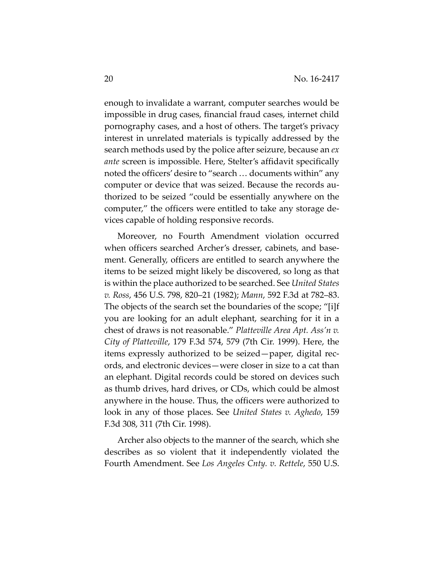enough to invalidate a warrant, computer searches would be impossible in drug cases, financial fraud cases, internet child pornography cases, and a host of others. The target's privacy interest in unrelated materials is typically addressed by the search methods used by the police after seizure, because an *ex ante* screen is impossible. Here, Stelter's affidavit specifically noted the officers'desire to "search … documents within" any computer or device that was seized. Because the records au‐ thorized to be seized "could be essentially anywhere on the computer," the officers were entitled to take any storage de‐ vices capable of holding responsive records.

Moreover, no Fourth Amendment violation occurred when officers searched Archer's dresser, cabinets, and basement. Generally, officers are entitled to search anywhere the items to be seized might likely be discovered, so long as that is within the place authorized to be searched. See *United States v. Ross*, 456 U.S. 798, 820–21 (1982); *Mann*, 592 F.3d at 782–83. The objects of the search set the boundaries of the scope; "[i]f you are looking for an adult elephant, searching for it in a chest of draws is not reasonable." *Platteville Area Apt. Ass'n v. City of Platteville*, 179 F.3d 574, 579 (7th Cir. 1999). Here, the items expressly authorized to be seized—paper, digital rec‐ ords, and electronic devices—were closer in size to a cat than an elephant. Digital records could be stored on devices such as thumb drives, hard drives, or CDs, which could be almost anywhere in the house. Thus, the officers were authorized to look in any of those places. See *United States v. Aghedo*, 159 F.3d 308, 311 (7th Cir. 1998).

Archer also objects to the manner of the search, which she describes as so violent that it independently violated the Fourth Amendment. See *Los Angeles Cnty. v. Rettele*, 550 U.S.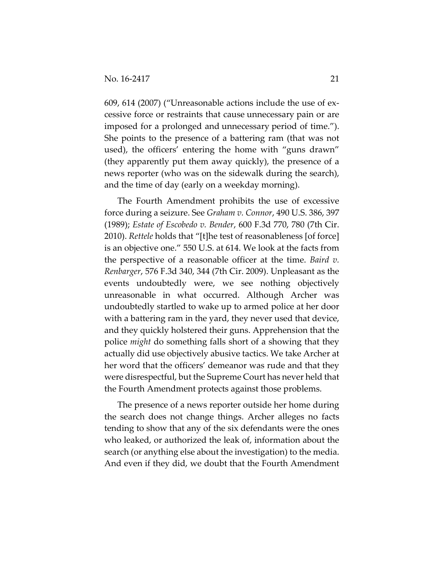609, 614 (2007) ("Unreasonable actions include the use of ex‐ cessive force or restraints that cause unnecessary pain or are imposed for a prolonged and unnecessary period of time."). She points to the presence of a battering ram (that was not used), the officers' entering the home with "guns drawn" (they apparently put them away quickly), the presence of a news reporter (who was on the sidewalk during the search), and the time of day (early on a weekday morning).

The Fourth Amendment prohibits the use of excessive force during a seizure. See *Graham v. Connor*, 490 U.S. 386, 397 (1989); *Estate of Escobedo v. Bender*, 600 F.3d 770, 780 (7th Cir. 2010). *Rettele* holds that "[t]he test of reasonableness [of force] is an objective one." 550 U.S. at 614. We look at the facts from the perspective of a reasonable officer at the time. *Baird v. Renbarger*, 576 F.3d 340, 344 (7th Cir. 2009). Unpleasant as the events undoubtedly were, we see nothing objectively unreasonable in what occurred. Although Archer was undoubtedly startled to wake up to armed police at her door with a battering ram in the yard, they never used that device, and they quickly holstered their guns. Apprehension that the police *might* do something falls short of a showing that they actually did use objectively abusive tactics. We take Archer at her word that the officers' demeanor was rude and that they were disrespectful, but the Supreme Court has never held that the Fourth Amendment protects against those problems.

The presence of a news reporter outside her home during the search does not change things. Archer alleges no facts tending to show that any of the six defendants were the ones who leaked, or authorized the leak of, information about the search (or anything else about the investigation) to the media. And even if they did, we doubt that the Fourth Amendment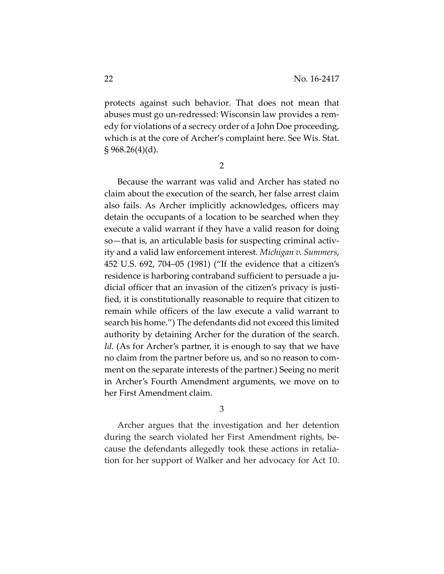protects against such behavior. That does not mean that abuses must go un‐redressed: Wisconsin law provides a rem‐ edy for violations of a secrecy order of a John Doe proceeding, which is at the core of Archer's complaint here. See Wis. Stat.  $\S 968.26(4)(d)$ .

2

Because the warrant was valid and Archer has stated no claim about the execution of the search, her false arrest claim also fails. As Archer implicitly acknowledges, officers may detain the occupants of a location to be searched when they execute a valid warrant if they have a valid reason for doing so—that is, an articulable basis for suspecting criminal activity and a valid law enforcement interest. *Michigan v. Summers*, 452 U.S. 692, 704–05 (1981) ("If the evidence that a citizen's residence is harboring contraband sufficient to persuade a ju‐ dicial officer that an invasion of the citizen's privacy is justi‐ fied, it is constitutionally reasonable to require that citizen to remain while officers of the law execute a valid warrant to search his home.") The defendants did not exceed this limited authority by detaining Archer for the duration of the search. *Id*. (As for Archer's partner, it is enough to say that we have no claim from the partner before us, and so no reason to com‐ ment on the separate interests of the partner.) Seeing no merit in Archer's Fourth Amendment arguments, we move on to her First Amendment claim.

3

Archer argues that the investigation and her detention during the search violated her First Amendment rights, be‐ cause the defendants allegedly took these actions in retalia‐ tion for her support of Walker and her advocacy for Act 10.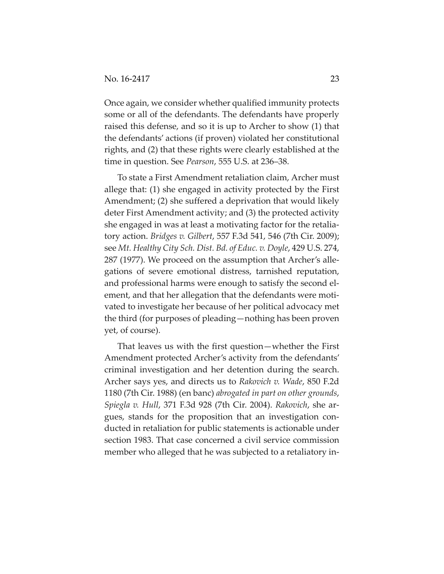Once again, we consider whether qualified immunity protects some or all of the defendants. The defendants have properly raised this defense, and so it is up to Archer to show (1) that the defendants' actions (if proven) violated her constitutional rights, and (2) that these rights were clearly established at the time in question. See *Pearson*, 555 U.S. at 236–38.

To state a First Amendment retaliation claim, Archer must allege that: (1) she engaged in activity protected by the First Amendment; (2) she suffered a deprivation that would likely deter First Amendment activity; and (3) the protected activity she engaged in was at least a motivating factor for the retalia‐ tory action. *Bridges v. Gilbert*, 557 F.3d 541, 546 (7th Cir. 2009); see *Mt. Healthy City Sch. Dist. Bd. of Educ. v. Doyle*, 429 U.S. 274, 287 (1977). We proceed on the assumption that Archer's alle‐ gations of severe emotional distress, tarnished reputation, and professional harms were enough to satisfy the second el‐ ement, and that her allegation that the defendants were motivated to investigate her because of her political advocacy met the third (for purposes of pleading—nothing has been proven yet, of course).

That leaves us with the first question—whether the First Amendment protected Archer's activity from the defendants' criminal investigation and her detention during the search. Archer says yes, and directs us to *Rakovich v. Wade*, 850 F.2d 1180 (7th Cir. 1988) (en banc) *abrogated in part on other grounds*, *Spiegla v. Hull*, 371 F.3d 928 (7th Cir. 2004). *Rakovich*, she ar‐ gues, stands for the proposition that an investigation con‐ ducted in retaliation for public statements is actionable under section 1983. That case concerned a civil service commission member who alleged that he was subjected to a retaliatory in-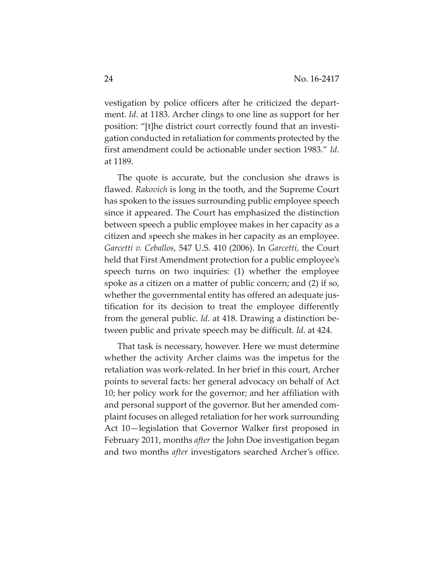vestigation by police officers after he criticized the depart‐ ment. *Id*. at 1183. Archer clings to one line as support for her position: "[t]he district court correctly found that an investi‐ gation conducted in retaliation for comments protected by the first amendment could be actionable under section 1983." *Id*. at 1189.

The quote is accurate, but the conclusion she draws is flawed. *Rakovich* is long in the tooth, and the Supreme Court has spoken to the issues surrounding public employee speech since it appeared. The Court has emphasized the distinction between speech a public employee makes in her capacity as a citizen and speech she makes in her capacity as an employee. *Garcetti v. Ceballos*, 547 U.S. 410 (2006). In *Garcetti,* the Court held that First Amendment protection for a public employee's speech turns on two inquiries: (1) whether the employee spoke as a citizen on a matter of public concern; and (2) if so, whether the governmental entity has offered an adequate justification for its decision to treat the employee differently from the general public. *Id*. at 418. Drawing a distinction be‐ tween public and private speech may be difficult. *Id*. at 424.

That task is necessary, however. Here we must determine whether the activity Archer claims was the impetus for the retaliation was work‐related. In her brief in this court, Archer points to several facts: her general advocacy on behalf of Act 10; her policy work for the governor; and her affiliation with and personal support of the governor. But her amended com‐ plaint focuses on alleged retaliation for her work surrounding Act 10—legislation that Governor Walker first proposed in February 2011, months *after* the John Doe investigation began and two months *after* investigators searched Archer's office.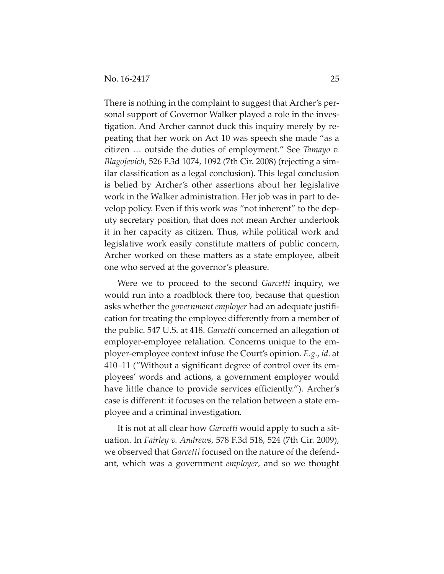There is nothing in the complaint to suggest that Archer's per‐ sonal support of Governor Walker played a role in the investigation. And Archer cannot duck this inquiry merely by re‐ peating that her work on Act 10 was speech she made "as a citizen … outside the duties of employment." See *Tamayo v. Blagojevich*, 526 F.3d 1074, 1092 (7th Cir. 2008) (rejecting a sim‐ ilar classification as a legal conclusion). This legal conclusion is belied by Archer's other assertions about her legislative work in the Walker administration. Her job was in part to de‐ velop policy. Even if this work was "not inherent" to the dep‐ uty secretary position, that does not mean Archer undertook it in her capacity as citizen. Thus, while political work and legislative work easily constitute matters of public concern, Archer worked on these matters as a state employee, albeit one who served at the governor's pleasure.

Were we to proceed to the second *Garcetti* inquiry, we would run into a roadblock there too, because that question asks whether the *government employer* had an adequate justifi‐ cation for treating the employee differently from a member of the public. 547 U.S. at 418. *Garcetti* concerned an allegation of employer-employee retaliation. Concerns unique to the employer‐employee context infuse the Court's opinion. *E.g.*, *id*. at 410–11 ("Without a significant degree of control over its em‐ ployees' words and actions, a government employer would have little chance to provide services efficiently."). Archer's case is different: it focuses on the relation between a state em‐ ployee and a criminal investigation.

It is not at all clear how *Garcetti* would apply to such a sit‐ uation. In *Fairley v. Andrews*, 578 F.3d 518, 524 (7th Cir. 2009), we observed that *Garcetti* focused on the nature of the defend‐ ant, which was a government *employer*, and so we thought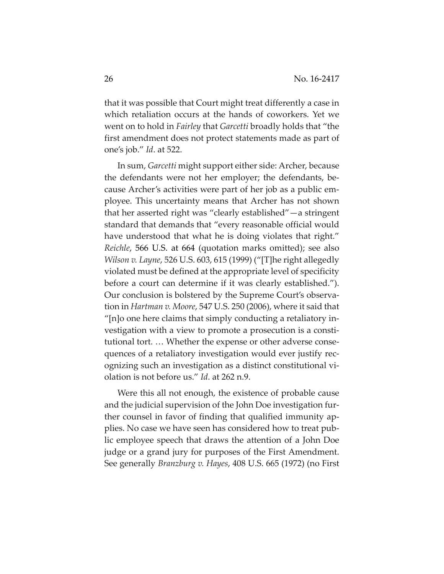that it was possible that Court might treat differently a case in which retaliation occurs at the hands of coworkers. Yet we went on to hold in *Fairley* that *Garcetti* broadly holds that "the first amendment does not protect statements made as part of one's job." *Id*. at 522.

In sum, *Garcetti* might support either side: Archer, because the defendants were not her employer; the defendants, be‐ cause Archer's activities were part of her job as a public em‐ ployee. This uncertainty means that Archer has not shown that her asserted right was "clearly established"—a stringent standard that demands that "every reasonable official would have understood that what he is doing violates that right." *Reichle*, 566 U.S. at 664 (quotation marks omitted); see also *Wilson v. Layne*, 526 U.S. 603, 615 (1999) ("[T]he right allegedly violated must be defined at the appropriate level of specificity before a court can determine if it was clearly established."). Our conclusion is bolstered by the Supreme Court's observa‐ tion in *Hartman v. Moore*, 547 U.S. 250 (2006), where it said that "[n]o one here claims that simply conducting a retaliatory in‐ vestigation with a view to promote a prosecution is a consti‐ tutional tort. … Whether the expense or other adverse conse‐ quences of a retaliatory investigation would ever justify rec‐ ognizing such an investigation as a distinct constitutional vi‐ olation is not before us." *Id*. at 262 n.9.

Were this all not enough, the existence of probable cause and the judicial supervision of the John Doe investigation fur‐ ther counsel in favor of finding that qualified immunity ap‐ plies. No case we have seen has considered how to treat pub‐ lic employee speech that draws the attention of a John Doe judge or a grand jury for purposes of the First Amendment. See generally *Branzburg v. Hayes*, 408 U.S. 665 (1972) (no First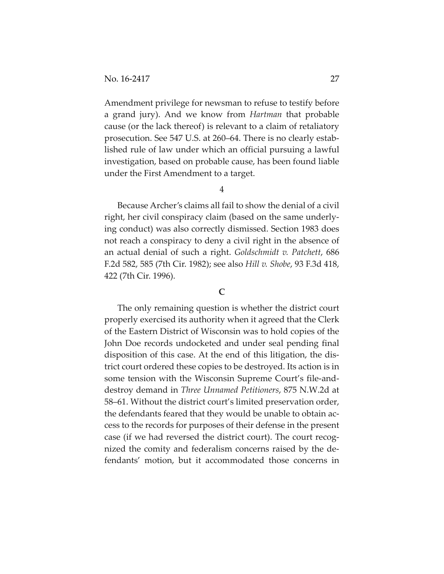Amendment privilege for newsman to refuse to testify before a grand jury). And we know from *Hartman* that probable cause (or the lack thereof) is relevant to a claim of retaliatory prosecution. See 547 U.S. at 260–64. There is no clearly estab‐ lished rule of law under which an official pursuing a lawful investigation, based on probable cause, has been found liable under the First Amendment to a target.

4

Because Archer's claims all fail to show the denial of a civil right, her civil conspiracy claim (based on the same underly‐ ing conduct) was also correctly dismissed. Section 1983 does not reach a conspiracy to deny a civil right in the absence of an actual denial of such a right. *Goldschmidt v. Patchett*, 686 F.2d 582, 585 (7th Cir. 1982); see also *Hill v. Shobe*, 93 F.3d 418, 422 (7th Cir. 1996).

#### **C**

The only remaining question is whether the district court properly exercised its authority when it agreed that the Clerk of the Eastern District of Wisconsin was to hold copies of the John Doe records undocketed and under seal pending final disposition of this case. At the end of this litigation, the dis‐ trict court ordered these copies to be destroyed. Its action is in some tension with the Wisconsin Supreme Court's file-anddestroy demand in *Three Unnamed Petitioners*, 875 N.W.2d at 58–61. Without the district court's limited preservation order, the defendants feared that they would be unable to obtain ac‐ cess to the records for purposes of their defense in the present case (if we had reversed the district court). The court recog‐ nized the comity and federalism concerns raised by the defendants' motion, but it accommodated those concerns in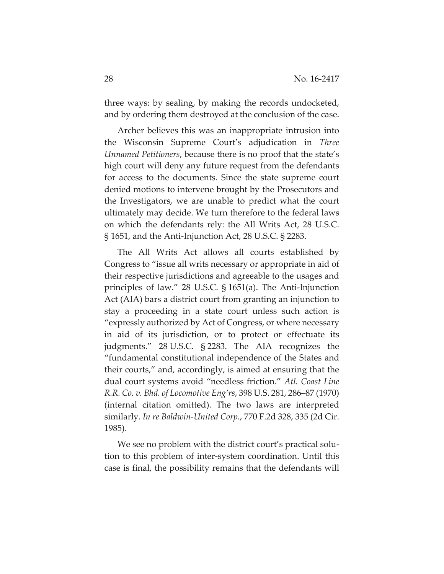three ways: by sealing, by making the records undocketed, and by ordering them destroyed at the conclusion of the case.

Archer believes this was an inappropriate intrusion into the Wisconsin Supreme Court's adjudication in *Three Unnamed Petitioners*, because there is no proof that the state's high court will deny any future request from the defendants for access to the documents. Since the state supreme court denied motions to intervene brought by the Prosecutors and the Investigators, we are unable to predict what the court ultimately may decide. We turn therefore to the federal laws on which the defendants rely: the All Writs Act, 28 U.S.C. § 1651, and the Anti‐Injunction Act, 28 U.S.C. § 2283.

The All Writs Act allows all courts established by Congress to "issue all writs necessary or appropriate in aid of their respective jurisdictions and agreeable to the usages and principles of law." 28 U.S.C.  $\S$  1651(a). The Anti-Injunction Act (AIA) bars a district court from granting an injunction to stay a proceeding in a state court unless such action is "expressly authorized by Act of Congress, or where necessary in aid of its jurisdiction, or to protect or effectuate its judgments." 28 U.S.C. § 2283. The AIA recognizes the "fundamental constitutional independence of the States and their courts," and, accordingly, is aimed at ensuring that the dual court systems avoid "needless friction." *Atl. Coast Line R.R. Co. v. Bhd. of Locomotive Eng'rs*, 398 U.S. 281, 286–87 (1970) (internal citation omitted). The two laws are interpreted similarly. *In re Baldwin‐United Corp.*, 770 F.2d 328, 335 (2d Cir. 1985).

We see no problem with the district court's practical solution to this problem of inter‐system coordination. Until this case is final, the possibility remains that the defendants will